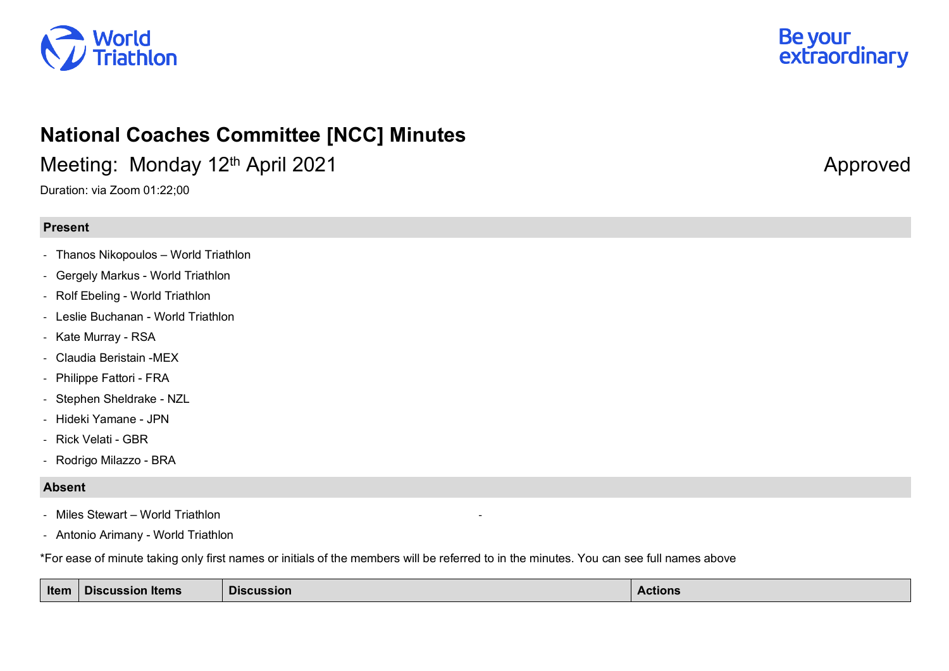



## **National Coaches Committee [NCC] Minutes**

Meeting: Monday 12<sup>th</sup> April 2021 Approved Approved

Duration: via Zoom 01:22;00

## **Present**

- Thanos Nikopoulos World Triathlon
- Gergely Markus World Triathlon
- Rolf Ebeling World Triathlon
- Leslie Buchanan World Triathlon
- Kate Murray RSA
- Claudia Beristain -MEX
- Philippe Fattori FRA
- Stephen Sheldrake NZL
- Hideki Yamane JPN
- Rick Velati GBR
- Rodrigo Milazzo BRA

## **Absent**

- Miles Stewart World Triathlon
- Antonio Arimany World Triathlon

\*For ease of minute taking only first names or initials of the members will be referred to in the minutes. You can see full names above

| Item | <b>Discussion Items</b> | <b>Discussion</b> | Actions |
|------|-------------------------|-------------------|---------|
|------|-------------------------|-------------------|---------|

-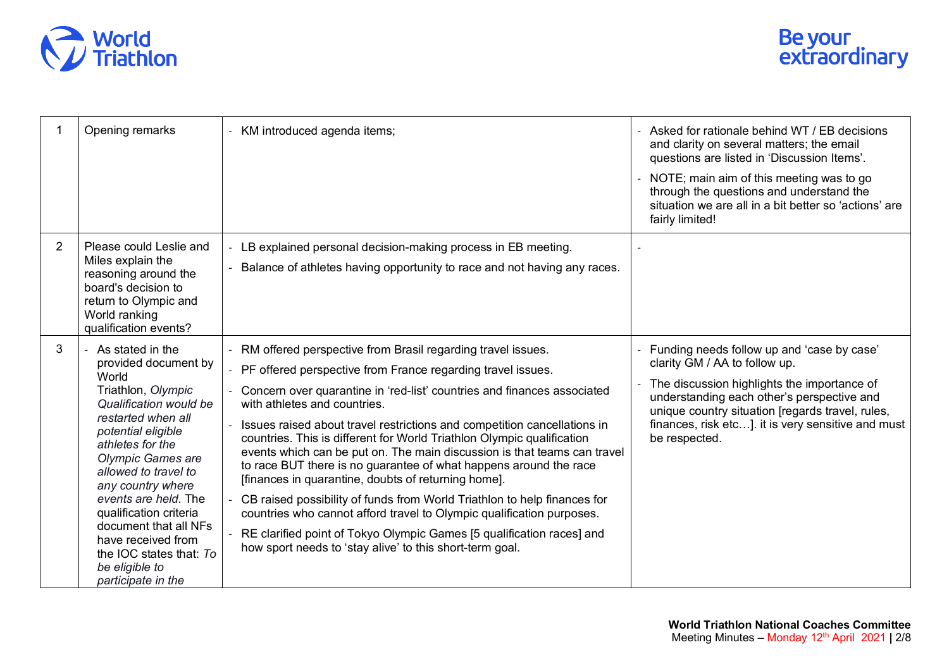

|                | Opening remarks                                                                                                                                                                                                                                                                                                                                                                                                  | - KM introduced agenda items;                                                                                                                                                                                                                                                                                                                                                                                                                                                                                                                                                                                                                                                                                                                                                                                                                                                                 | Asked for rationale behind WT / EB decisions<br>and clarity on several matters; the email<br>questions are listed in 'Discussion Items'.<br>- NOTE; main aim of this meeting was to go<br>through the questions and understand the<br>situation we are all in a bit better so 'actions' are<br>fairly limited! |
|----------------|------------------------------------------------------------------------------------------------------------------------------------------------------------------------------------------------------------------------------------------------------------------------------------------------------------------------------------------------------------------------------------------------------------------|-----------------------------------------------------------------------------------------------------------------------------------------------------------------------------------------------------------------------------------------------------------------------------------------------------------------------------------------------------------------------------------------------------------------------------------------------------------------------------------------------------------------------------------------------------------------------------------------------------------------------------------------------------------------------------------------------------------------------------------------------------------------------------------------------------------------------------------------------------------------------------------------------|----------------------------------------------------------------------------------------------------------------------------------------------------------------------------------------------------------------------------------------------------------------------------------------------------------------|
| $\overline{2}$ | Please could Leslie and<br>Miles explain the<br>reasoning around the<br>board's decision to<br>return to Olympic and<br>World ranking<br>qualification events?                                                                                                                                                                                                                                                   | LB explained personal decision-making process in EB meeting.<br>Balance of athletes having opportunity to race and not having any races.                                                                                                                                                                                                                                                                                                                                                                                                                                                                                                                                                                                                                                                                                                                                                      |                                                                                                                                                                                                                                                                                                                |
| 3              | - As stated in the<br>provided document by<br>World<br>Triathlon, Olympic<br>Qualification would be<br>restarted when all<br>potential eligible<br>athletes for the<br><b>Olympic Games are</b><br>allowed to travel to<br>any country where<br>events are held. The<br>qualification criteria<br>document that all NFs<br>have received from<br>the IOC states that: To<br>be eligible to<br>participate in the | RM offered perspective from Brasil regarding travel issues.<br>PF offered perspective from France regarding travel issues.<br>Concern over quarantine in 'red-list' countries and finances associated<br>with athletes and countries.<br>Issues raised about travel restrictions and competition cancellations in<br>countries. This is different for World Triathlon Olympic qualification<br>events which can be put on. The main discussion is that teams can travel<br>to race BUT there is no guarantee of what happens around the race<br>[finances in quarantine, doubts of returning home].<br>CB raised possibility of funds from World Triathlon to help finances for<br>countries who cannot afford travel to Olympic qualification purposes.<br>RE clarified point of Tokyo Olympic Games [5 qualification races] and<br>how sport needs to 'stay alive' to this short-term goal. | Funding needs follow up and 'case by case'<br>clarity GM / AA to follow up.<br>The discussion highlights the importance of<br>understanding each other's perspective and<br>unique country situation [regards travel, rules,<br>finances, risk etc]. it is very sensitive and must<br>be respected.            |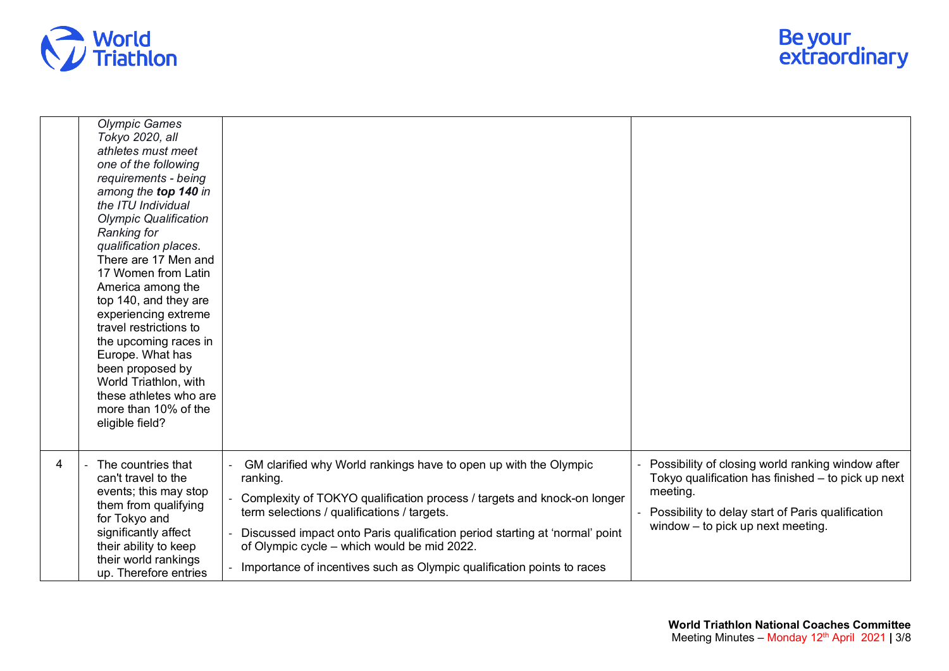

|                | <b>Olympic Games</b><br>Tokyo 2020, all<br>athletes must meet<br>one of the following<br>requirements - being<br>among the top 140 in<br>the ITU Individual<br><b>Olympic Qualification</b><br>Ranking for<br>qualification places.<br>There are 17 Men and<br>17 Women from Latin<br>America among the<br>top 140, and they are<br>experiencing extreme<br>travel restrictions to<br>the upcoming races in<br>Europe. What has<br>been proposed by<br>World Triathlon, with<br>these athletes who are<br>more than 10% of the<br>eligible field? |                                                                                                                                                                                                                                                                                                                                                                                                                |                                                                                                                                                                                                                 |
|----------------|---------------------------------------------------------------------------------------------------------------------------------------------------------------------------------------------------------------------------------------------------------------------------------------------------------------------------------------------------------------------------------------------------------------------------------------------------------------------------------------------------------------------------------------------------|----------------------------------------------------------------------------------------------------------------------------------------------------------------------------------------------------------------------------------------------------------------------------------------------------------------------------------------------------------------------------------------------------------------|-----------------------------------------------------------------------------------------------------------------------------------------------------------------------------------------------------------------|
| $\overline{4}$ | The countries that<br>can't travel to the<br>events; this may stop<br>them from qualifying<br>for Tokyo and<br>significantly affect<br>their ability to keep<br>their world rankings<br>up. Therefore entries                                                                                                                                                                                                                                                                                                                                     | GM clarified why World rankings have to open up with the Olympic<br>ranking.<br>Complexity of TOKYO qualification process / targets and knock-on longer<br>term selections / qualifications / targets.<br>Discussed impact onto Paris qualification period starting at 'normal' point<br>of Olympic cycle - which would be mid 2022.<br>Importance of incentives such as Olympic qualification points to races | Possibility of closing world ranking window after<br>Tokyo qualification has finished - to pick up next<br>meeting.<br>Possibility to delay start of Paris qualification<br>window $-$ to pick up next meeting. |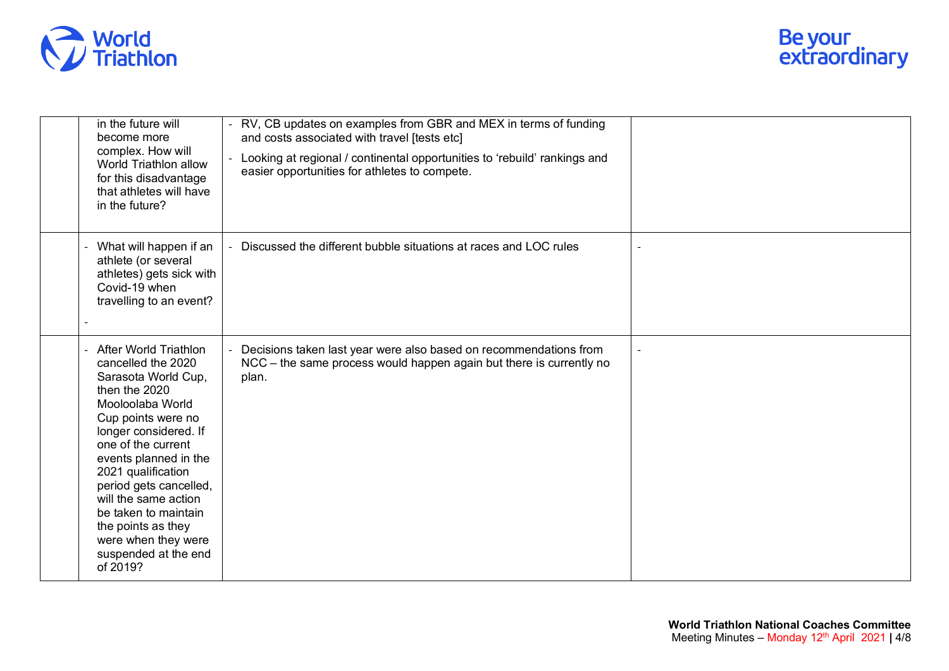

| in the future will<br>become more<br>complex. How will<br>World Triathlon allow<br>for this disadvantage<br>that athletes will have<br>in the future?                                                                                                                                                                                                                                    | RV, CB updates on examples from GBR and MEX in terms of funding<br>and costs associated with travel [tests etc]<br>Looking at regional / continental opportunities to 'rebuild' rankings and<br>easier opportunities for athletes to compete. |  |
|------------------------------------------------------------------------------------------------------------------------------------------------------------------------------------------------------------------------------------------------------------------------------------------------------------------------------------------------------------------------------------------|-----------------------------------------------------------------------------------------------------------------------------------------------------------------------------------------------------------------------------------------------|--|
| What will happen if an<br>L.<br>athlete (or several<br>athletes) gets sick with<br>Covid-19 when<br>travelling to an event?                                                                                                                                                                                                                                                              | Discussed the different bubble situations at races and LOC rules                                                                                                                                                                              |  |
| - After World Triathlon<br>cancelled the 2020<br>Sarasota World Cup,<br>then the 2020<br>Mooloolaba World<br>Cup points were no<br>longer considered. If<br>one of the current<br>events planned in the<br>2021 qualification<br>period gets cancelled,<br>will the same action<br>be taken to maintain<br>the points as they<br>were when they were<br>suspended at the end<br>of 2019? | Decisions taken last year were also based on recommendations from<br>NCC – the same process would happen again but there is currently no<br>plan.                                                                                             |  |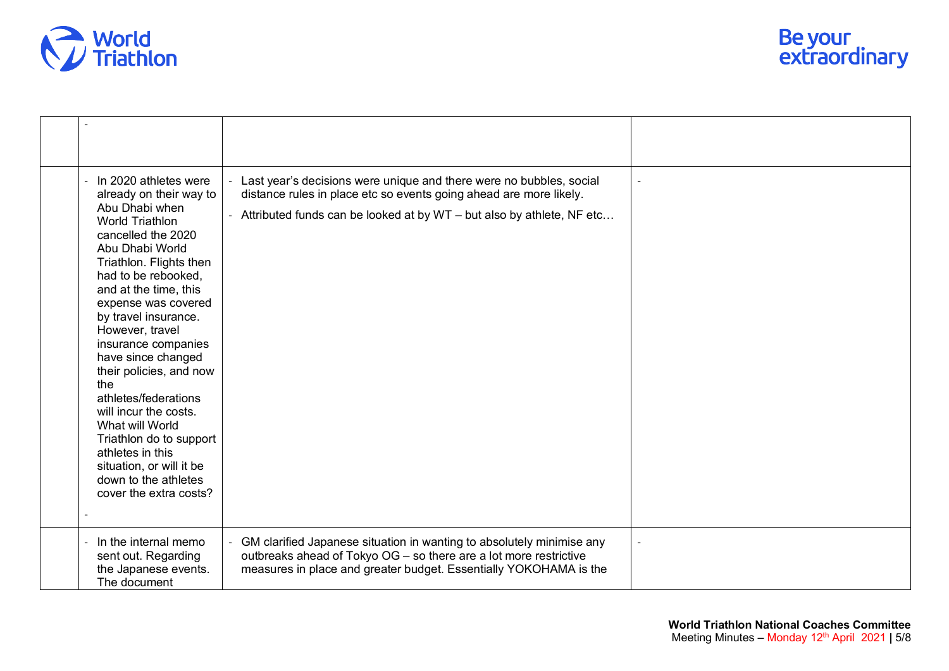

| In 2020 athletes were<br>already on their way to<br>Abu Dhabi when<br><b>World Triathlon</b><br>cancelled the 2020<br>Abu Dhabi World<br>Triathlon. Flights then<br>had to be rebooked,<br>and at the time, this<br>expense was covered<br>by travel insurance.<br>However, travel<br>insurance companies<br>have since changed<br>their policies, and now<br>the<br>athletes/federations<br>will incur the costs.<br>What will World<br>Triathlon do to support<br>athletes in this<br>situation, or will it be<br>down to the athletes<br>cover the extra costs? | Last year's decisions were unique and there were no bubbles, social<br>distance rules in place etc so events going ahead are more likely.<br>- Attributed funds can be looked at by WT - but also by athlete, NF etc |  |
|--------------------------------------------------------------------------------------------------------------------------------------------------------------------------------------------------------------------------------------------------------------------------------------------------------------------------------------------------------------------------------------------------------------------------------------------------------------------------------------------------------------------------------------------------------------------|----------------------------------------------------------------------------------------------------------------------------------------------------------------------------------------------------------------------|--|
| In the internal memo<br>sent out. Regarding<br>the Japanese events.<br>The document                                                                                                                                                                                                                                                                                                                                                                                                                                                                                | GM clarified Japanese situation in wanting to absolutely minimise any<br>outbreaks ahead of Tokyo OG - so there are a lot more restrictive<br>measures in place and greater budget. Essentially YOKOHAMA is the      |  |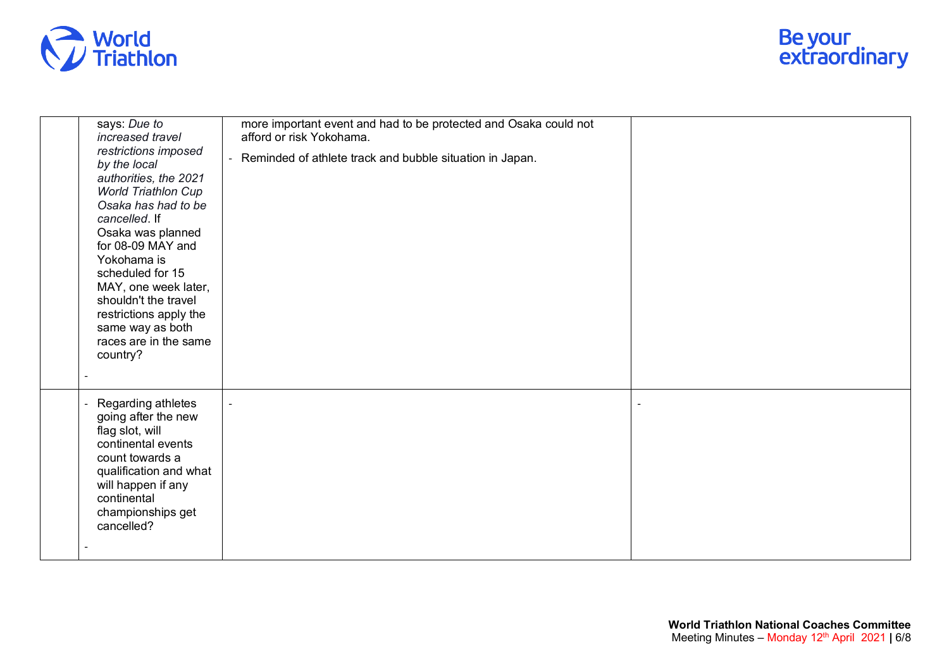

| increased travel<br>restrictions imposed<br>by the local<br>authorities, the 2021<br><b>World Triathlon Cup</b><br>Osaka has had to be<br>cancelled. If<br>Osaka was planned<br>for 08-09 MAY and<br>Yokohama is<br>scheduled for 15<br>MAY, one week later,<br>shouldn't the travel<br>restrictions apply the<br>same way as both<br>races are in the same<br>country? | afford or risk Yokohama.<br>Reminded of athlete track and bubble situation in Japan. |  |
|-------------------------------------------------------------------------------------------------------------------------------------------------------------------------------------------------------------------------------------------------------------------------------------------------------------------------------------------------------------------------|--------------------------------------------------------------------------------------|--|
| Regarding athletes<br>going after the new<br>flag slot, will<br>continental events<br>count towards a<br>qualification and what<br>will happen if any<br>continental<br>championships get<br>cancelled?                                                                                                                                                                 |                                                                                      |  |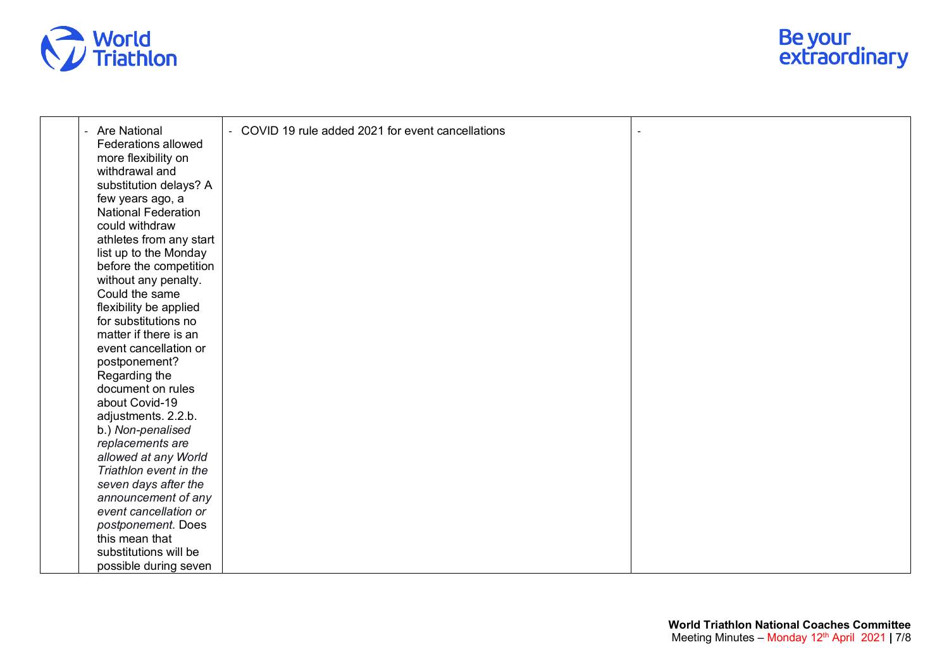



| - Are National                                 | COVID 19 rule added 2021 for event cancellations<br>$\blacksquare$ |  |
|------------------------------------------------|--------------------------------------------------------------------|--|
| Federations allowed                            |                                                                    |  |
| more flexibility on                            |                                                                    |  |
| withdrawal and                                 |                                                                    |  |
| substitution delays? A                         |                                                                    |  |
| few years ago, a                               |                                                                    |  |
| <b>National Federation</b>                     |                                                                    |  |
| could withdraw                                 |                                                                    |  |
| athletes from any start                        |                                                                    |  |
| list up to the Monday                          |                                                                    |  |
| before the competition                         |                                                                    |  |
| without any penalty.                           |                                                                    |  |
| Could the same                                 |                                                                    |  |
| flexibility be applied                         |                                                                    |  |
| for substitutions no                           |                                                                    |  |
| matter if there is an                          |                                                                    |  |
| event cancellation or                          |                                                                    |  |
| postponement?                                  |                                                                    |  |
| Regarding the                                  |                                                                    |  |
| document on rules                              |                                                                    |  |
| about Covid-19                                 |                                                                    |  |
|                                                |                                                                    |  |
| adjustments. 2.2.b.                            |                                                                    |  |
| b.) Non-penalised                              |                                                                    |  |
| replacements are                               |                                                                    |  |
| allowed at any World<br>Triathlon event in the |                                                                    |  |
|                                                |                                                                    |  |
| seven days after the                           |                                                                    |  |
| announcement of any                            |                                                                    |  |
| event cancellation or                          |                                                                    |  |
| postponement. Does                             |                                                                    |  |
| this mean that                                 |                                                                    |  |
| substitutions will be                          |                                                                    |  |
| possible during seven                          |                                                                    |  |